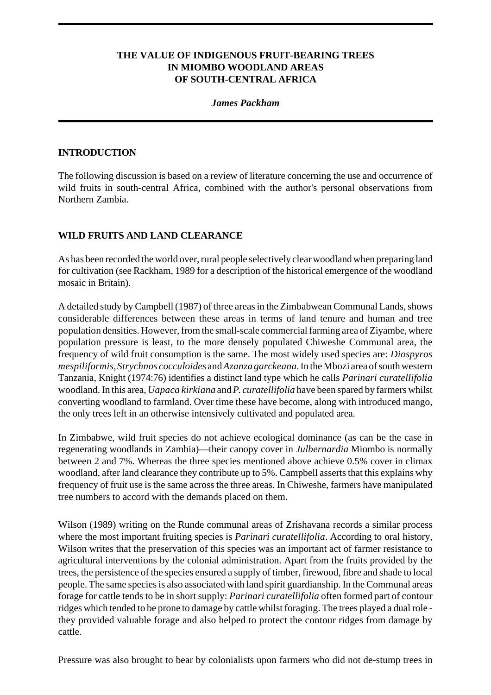## **THE VALUE OF INDIGENOUS FRUIT-BEARING TREES IN MIOMBO WOODLAND AREAS OF SOUTH-CENTRAL AFRICA**

### *James Packham*

#### **INTRODUCTION**

The following discussion is based on a review of literature concerning the use and occurrence of wild fruits in south-central Africa, combined with the author's personal observations from Northern Zambia.

### **WILD FRUITS AND LAND CLEARANCE**

As has been recorded the world over, rural people selectively clear woodland when preparing land for cultivation (see Rackham, 1989 for a description of the historical emergence of the woodland mosaic in Britain).

A detailed study by Campbell (1987) of three areas in the Zimbabwean Communal Lands, shows considerable differences between these areas in terms of land tenure and human and tree population densities. However, from the small-scale commercial farming area of Ziyambe, where population pressure is least, to the more densely populated Chiweshe Communal area, the frequency of wild fruit consumption is the same. The most widely used species are: *Diospyros mespiliformis*,*Strychnos cocculoides* and *Azanza garckeana*. In the Mbozi area of south western Tanzania, Knight (1974:76) identifies a distinct land type which he calls *Parinari curatellifolia* woodland. In this area, *Uapaca kirkiana* and *P. curatellifolia* have been spared by farmers whilst converting woodland to farmland. Over time these have become, along with introduced mango, the only trees left in an otherwise intensively cultivated and populated area.

In Zimbabwe, wild fruit species do not achieve ecological dominance (as can be the case in regenerating woodlands in Zambia)—their canopy cover in *Julbernardia* Miombo is normally between 2 and 7%. Whereas the three species mentioned above achieve 0.5% cover in climax woodland, after land clearance they contribute up to 5%. Campbell asserts that this explains why frequency of fruit use is the same across the three areas. In Chiweshe, farmers have manipulated tree numbers to accord with the demands placed on them.

Wilson (1989) writing on the Runde communal areas of Zrishavana records a similar process where the most important fruiting species is *Parinari curatellifolia*. According to oral history, Wilson writes that the preservation of this species was an important act of farmer resistance to agricultural interventions by the colonial administration. Apart from the fruits provided by the trees, the persistence of the species ensured a supply of timber, firewood, fibre and shade to local people. The same species is also associated with land spirit guardianship. In the Communal areas forage for cattle tends to be in short supply: *Parinari curatellifolia* often formed part of contour ridges which tended to be prone to damage by cattle whilst foraging. The trees played a dual role they provided valuable forage and also helped to protect the contour ridges from damage by cattle.

Pressure was also brought to bear by colonialists upon farmers who did not de-stump trees in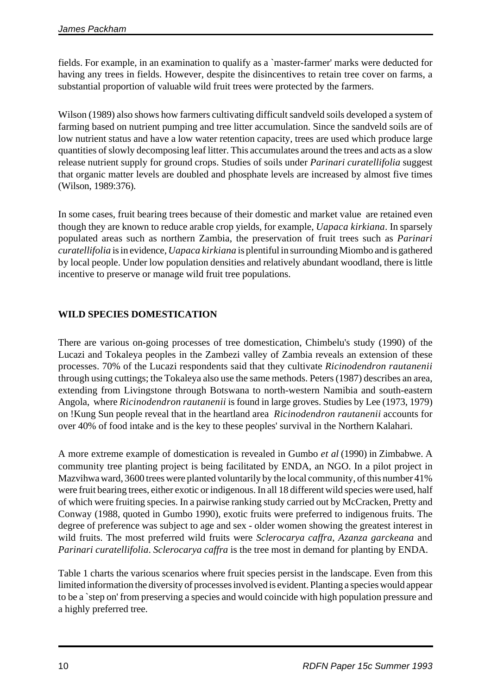fields. For example, in an examination to qualify as a `master-farmer' marks were deducted for having any trees in fields. However, despite the disincentives to retain tree cover on farms, a substantial proportion of valuable wild fruit trees were protected by the farmers.

Wilson (1989) also shows how farmers cultivating difficult sandveld soils developed a system of farming based on nutrient pumping and tree litter accumulation. Since the sandveld soils are of low nutrient status and have a low water retention capacity, trees are used which produce large quantities of slowly decomposing leaf litter. This accumulates around the trees and acts as a slow release nutrient supply for ground crops. Studies of soils under *Parinari curatellifolia* suggest that organic matter levels are doubled and phosphate levels are increased by almost five times (Wilson, 1989:376).

In some cases, fruit bearing trees because of their domestic and market value are retained even though they are known to reduce arable crop yields, for example, *Uapaca kirkiana*. In sparsely populated areas such as northern Zambia, the preservation of fruit trees such as *Parinari curatellifolia* is in evidence, *Uapaca kirkiana* is plentiful in surrounding Miombo and is gathered by local people. Under low population densities and relatively abundant woodland, there is little incentive to preserve or manage wild fruit tree populations.

# **WILD SPECIES DOMESTICATION**

There are various on-going processes of tree domestication, Chimbelu's study (1990) of the Lucazi and Tokaleya peoples in the Zambezi valley of Zambia reveals an extension of these processes. 70% of the Lucazi respondents said that they cultivate *Ricinodendron rautanenii* through using cuttings; the Tokaleya also use the same methods. Peters (1987) describes an area, extending from Livingstone through Botswana to north-western Namibia and south-eastern Angola, where *Ricinodendron rautanenii* is found in large groves. Studies by Lee (1973, 1979) on !Kung Sun people reveal that in the heartland area *Ricinodendron rautanenii* accounts for over 40% of food intake and is the key to these peoples' survival in the Northern Kalahari.

A more extreme example of domestication is revealed in Gumbo *et al* (1990) in Zimbabwe. A community tree planting project is being facilitated by ENDA, an NGO. In a pilot project in Mazvihwa ward, 3600 trees were planted voluntarily by the local community, of this number 41% were fruit bearing trees, either exotic or indigenous. In all 18 different wild species were used, half of which were fruiting species. In a pairwise ranking study carried out by McCracken, Pretty and Conway (1988, quoted in Gumbo 1990), exotic fruits were preferred to indigenous fruits. The degree of preference was subject to age and sex - older women showing the greatest interest in wild fruits. The most preferred wild fruits were *Sclerocarya caffra*, *Azanza garckeana* and *Parinari curatellifolia*. *Sclerocarya caffra* is the tree most in demand for planting by ENDA.

Table 1 charts the various scenarios where fruit species persist in the landscape. Even from this limited information the diversity of processes involved is evident. Planting a species would appear to be a `step on' from preserving a species and would coincide with high population pressure and a highly preferred tree.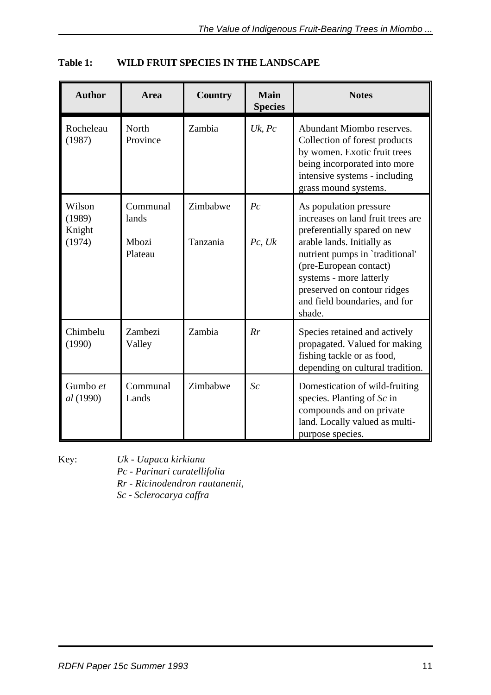| <b>Author</b>                        | Area                                  | <b>Country</b>       | <b>Main</b><br><b>Species</b> | <b>Notes</b>                                                                                                                                                                                                                                                                                |
|--------------------------------------|---------------------------------------|----------------------|-------------------------------|---------------------------------------------------------------------------------------------------------------------------------------------------------------------------------------------------------------------------------------------------------------------------------------------|
| Rocheleau<br>(1987)                  | North<br>Province                     | Zambia               | $Uk$ , $Pc$                   | Abundant Miombo reserves.<br>Collection of forest products<br>by women. Exotic fruit trees<br>being incorporated into more<br>intensive systems - including<br>grass mound systems.                                                                                                         |
| Wilson<br>(1989)<br>Knight<br>(1974) | Communal<br>lands<br>Mbozi<br>Plateau | Zimbabwe<br>Tanzania | $P_{c}$<br>Pc, Uk             | As population pressure<br>increases on land fruit trees are<br>preferentially spared on new<br>arable lands. Initially as<br>nutrient pumps in 'traditional'<br>(pre-European contact)<br>systems - more latterly<br>preserved on contour ridges<br>and field boundaries, and for<br>shade. |
| Chimbelu<br>(1990)                   | Zambezi<br>Valley                     | Zambia               | Rr                            | Species retained and actively<br>propagated. Valued for making<br>fishing tackle or as food,<br>depending on cultural tradition.                                                                                                                                                            |
| Gumbo et<br>al (1990)                | Communal<br>Lands                     | Zimbabwe             | Sc                            | Domestication of wild-fruiting<br>species. Planting of $Sc$ in<br>compounds and on private<br>land. Locally valued as multi-<br>purpose species.                                                                                                                                            |

# **Table 1: WILD FRUIT SPECIES IN THE LANDSCAPE**

Key: *Uk - Uapaca kirkiana*

*Pc - Parinari curatellifolia*

*Rr - Ricinodendron rautanenii,* 

*Sc - Sclerocarya caffra*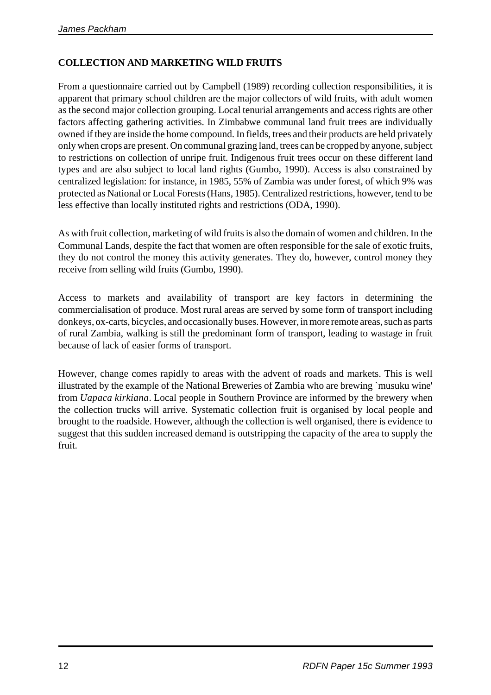# **COLLECTION AND MARKETING WILD FRUITS**

From a questionnaire carried out by Campbell (1989) recording collection responsibilities, it is apparent that primary school children are the major collectors of wild fruits, with adult women as the second major collection grouping. Local tenurial arrangements and access rights are other factors affecting gathering activities. In Zimbabwe communal land fruit trees are individually owned if they are inside the home compound. In fields, trees and their products are held privately only when crops are present. On communal grazing land, trees can be cropped by anyone, subject to restrictions on collection of unripe fruit. Indigenous fruit trees occur on these different land types and are also subject to local land rights (Gumbo, 1990). Access is also constrained by centralized legislation: for instance, in 1985, 55% of Zambia was under forest, of which 9% was protected as National or Local Forests (Hans, 1985). Centralized restrictions, however, tend to be less effective than locally instituted rights and restrictions (ODA, 1990).

As with fruit collection, marketing of wild fruits is also the domain of women and children. In the Communal Lands, despite the fact that women are often responsible for the sale of exotic fruits, they do not control the money this activity generates. They do, however, control money they receive from selling wild fruits (Gumbo, 1990).

Access to markets and availability of transport are key factors in determining the commercialisation of produce. Most rural areas are served by some form of transport including donkeys, ox-carts, bicycles, and occasionally buses. However, in more remote areas, such as parts of rural Zambia, walking is still the predominant form of transport, leading to wastage in fruit because of lack of easier forms of transport.

However, change comes rapidly to areas with the advent of roads and markets. This is well illustrated by the example of the National Breweries of Zambia who are brewing `musuku wine' from *Uapaca kirkiana*. Local people in Southern Province are informed by the brewery when the collection trucks will arrive. Systematic collection fruit is organised by local people and brought to the roadside. However, although the collection is well organised, there is evidence to suggest that this sudden increased demand is outstripping the capacity of the area to supply the fruit.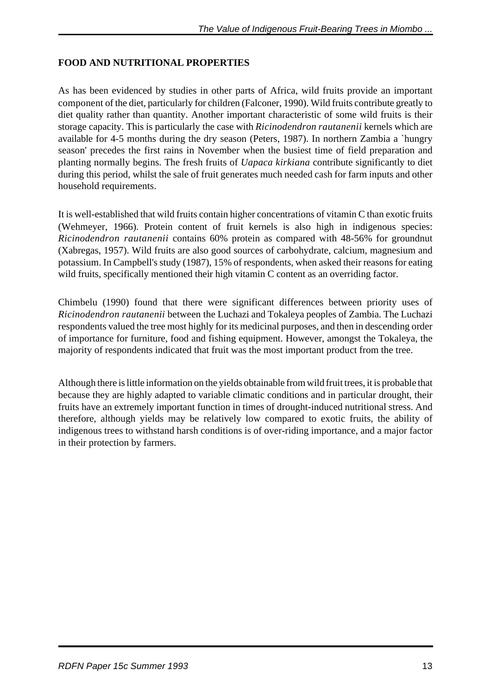## **FOOD AND NUTRITIONAL PROPERTIES**

As has been evidenced by studies in other parts of Africa, wild fruits provide an important component of the diet, particularly for children (Falconer, 1990). Wild fruits contribute greatly to diet quality rather than quantity. Another important characteristic of some wild fruits is their storage capacity. This is particularly the case with *Ricinodendron rautanenii* kernels which are available for 4-5 months during the dry season (Peters, 1987). In northern Zambia a `hungry season' precedes the first rains in November when the busiest time of field preparation and planting normally begins. The fresh fruits of *Uapaca kirkiana* contribute significantly to diet during this period, whilst the sale of fruit generates much needed cash for farm inputs and other household requirements.

It is well-established that wild fruits contain higher concentrations of vitamin C than exotic fruits (Wehmeyer, 1966). Protein content of fruit kernels is also high in indigenous species: *Ricinodendron rautanenii* contains 60% protein as compared with 48-56% for groundnut (Xabregas, 1957). Wild fruits are also good sources of carbohydrate, calcium, magnesium and potassium. In Campbell's study (1987), 15% of respondents, when asked their reasons for eating wild fruits, specifically mentioned their high vitamin C content as an overriding factor.

Chimbelu (1990) found that there were significant differences between priority uses of *Ricinodendron rautanenii* between the Luchazi and Tokaleya peoples of Zambia. The Luchazi respondents valued the tree most highly for its medicinal purposes, and then in descending order of importance for furniture, food and fishing equipment. However, amongst the Tokaleya, the majority of respondents indicated that fruit was the most important product from the tree.

Although there is little information on the yields obtainable from wild fruit trees, it is probable that because they are highly adapted to variable climatic conditions and in particular drought, their fruits have an extremely important function in times of drought-induced nutritional stress. And therefore, although yields may be relatively low compared to exotic fruits, the ability of indigenous trees to withstand harsh conditions is of over-riding importance, and a major factor in their protection by farmers.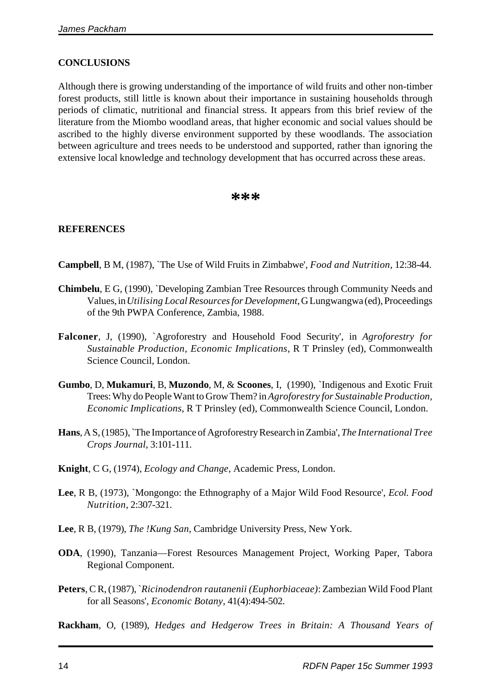### **CONCLUSIONS**

Although there is growing understanding of the importance of wild fruits and other non-timber forest products, still little is known about their importance in sustaining households through periods of climatic, nutritional and financial stress. It appears from this brief review of the literature from the Miombo woodland areas, that higher economic and social values should be ascribed to the highly diverse environment supported by these woodlands. The association between agriculture and trees needs to be understood and supported, rather than ignoring the extensive local knowledge and technology development that has occurred across these areas.

### **\*\*\***

### **REFERENCES**

**Campbell**, B M, (1987), `The Use of Wild Fruits in Zimbabwe', *Food and Nutrition*, 12:38-44.

- **Chimbelu**, E G, (1990), `Developing Zambian Tree Resources through Community Needs and Values, in *Utilising Local Resources for Development*, G Lungwangwa (ed), Proceedings of the 9th PWPA Conference, Zambia, 1988.
- **Falconer**, J, (1990), `Agroforestry and Household Food Security', in *Agroforestry for Sustainable Production, Economic Implications*, R T Prinsley (ed), Commonwealth Science Council, London.
- **Gumbo**, D, **Mukamuri**, B, **Muzondo**, M, & **Scoones**, I, (1990), `Indigenous and Exotic Fruit Trees: Why do People Want to Grow Them? in *Agroforestry for Sustainable Production, Economic Implications*, R T Prinsley (ed), Commonwealth Science Council, London.
- **Hans**, A S, (1985), `The Importance of Agroforestry Research in Zambia', *The International Tree Crops Journal*, 3:101-111.
- **Knight**, C G, (1974), *Ecology and Change*, Academic Press, London.
- **Lee**, R B, (1973), `Mongongo: the Ethnography of a Major Wild Food Resource', *Ecol. Food Nutrition*, 2:307-321.
- **Lee**, R B, (1979), *The !Kung San*, Cambridge University Press, New York.
- **ODA**, (1990), Tanzania—Forest Resources Management Project, Working Paper, Tabora Regional Component.
- **Peters**, C R, (1987), `*Ricinodendron rautanenii (Euphorbiaceae)*: Zambezian Wild Food Plant for all Seasons', *Economic Botany*, 41(4):494-502.
- **Rackham**, O, (1989), *Hedges and Hedgerow Trees in Britain: A Thousand Years of*